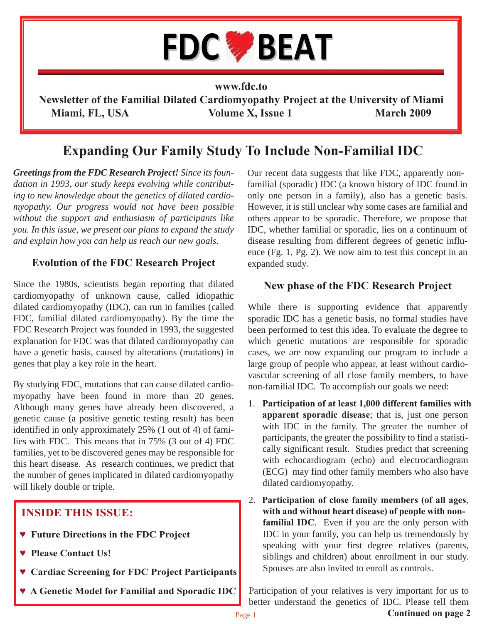

#### **www.fdc.to**

**Newsletter of the Familial Dilated Cardiomyopathy Project at the University of Miami Miami, FL, USA** Volume X, Issue 1 March 2009

## **Expanding Our Family Study To Include Non-Familial IDC**

*Greetings from the FDC Research Project! Since its foundation in 1993, our study keeps evolving while contributing to new knowledge about the genetics of dilated cardiomyopathy. Our progress would not have been possible without the support and enthusiasm of participants like you. In this issue, we present our plans to expand the study and explain how you can help us reach our new goals.* 

### **Evolution of the FDC Research Project**

Since the 1980s, scientists began reporting that dilated cardiomyopathy of unknown cause, called idiopathic dilated cardiomyopathy (IDC), can run in families (called FDC, familial dilated cardiomyopathy). By the time the FDC Research Project was founded in 1993, the suggested explanation for FDC was that dilated cardiomyopathy can have a genetic basis, caused by alterations (mutations) in genes that play a key role in the heart.

By studying FDC, mutations that can cause dilated cardiomyopathy have been found in more than 20 genes. Although many genes have already been discovered, a genetic cause (a positive genetic testing result) has been identified in only approximately 25% (1 out of 4) of families with FDC. This means that in 75% (3 out of 4) FDC families, yet to be discovered genes may be responsible for this heart disease. As research continues, we predict that the number of genes implicated in dilated cardiomyopathy will likely double or triple.

### **INSIDE THIS ISSUE:**

- **♥ Future Directions in the FDC Project**
- **♥ Please Contact Us!**
- **♥ Cardiac Screening for FDC Project Participants**
- **♥ A Genetic Model for Familial and Sporadic IDC**

Our recent data suggests that like FDC, apparently nonfamilial (sporadic) IDC (a known history of IDC found in only one person in a family), also has a genetic basis. However, it is still unclear why some cases are familial and others appear to be sporadic. Therefore, we propose that IDC, whether familial or sporadic, lies on a continuum of disease resulting from different degrees of genetic influence (Fg. 1, Pg. 2). We now aim to test this concept in an expanded study.

#### **New phase of the FDC Research Project**

While there is supporting evidence that apparently sporadic IDC has a genetic basis, no formal studies have been performed to test this idea. To evaluate the degree to which genetic mutations are responsible for sporadic cases, we are now expanding our program to include a large group of people who appear, at least without cardiovascular screening of all close family members, to have non-familial IDC. To accomplish our goals we need:

- 1. **Participation of at least 1,000 different families with apparent sporadic disease**; that is, just one person with IDC in the family. The greater the number of participants, the greater the possibility to find a statistically significant result. Studies predict that screening with echocardiogram (echo) and electrocardiogram (ECG) may find other family members who also have dilated cardiomyopathy.
- 2. **Participation of close family members (of all ages**, **with and without heart disease) of people with nonfamilial IDC**. Even if you are the only person with IDC in your family, you can help us tremendously by speaking with your first degree relatives (parents, siblings and children) about enrollment in our study. Spouses are also invited to enroll as controls.

Participation of your relatives is very important for us to better understand the genetics of IDC. Please tell them

**Continued on page 2**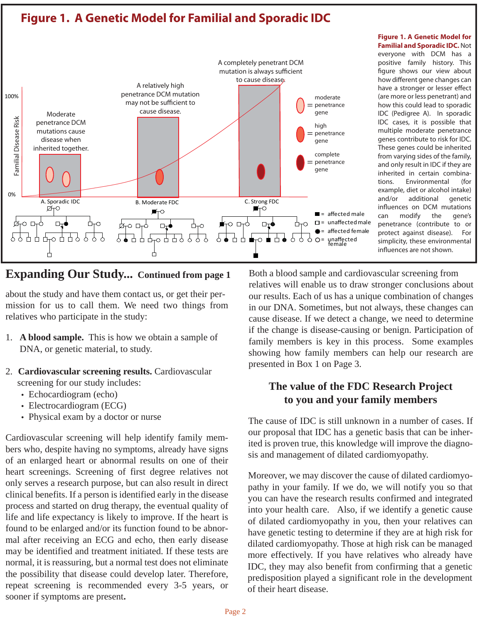



**Familial and Sporadic IDC.** Not everyone with DCM has a positive family history. This figure shows our view about how different gene changes can have a stronger or lesser effect (are more or less penetrant) and how this could lead to sporadic IDC (Pedigree A). In sporadic IDC cases, it is possible that multiple moderate penetrance genes contribute to risk for IDC. These genes could be inherited from varying sides of the family, and only result in IDC if they are inherited in certain combinations. Environmental (for example, diet or alcohol intake) and/or additional genetic influences on DCM mutations can modify the gene's penetrance (contribute to or protect against disease). For simplicity, these environmental influences are not shown.

**Figure 1. A Genetic Model for** 

### **Expanding Our Study... Continued from page 1**

about the study and have them contact us, or get their permission for us to call them. We need two things from relatives who participate in the study:

- 1. **A blood sample.** This is how we obtain a sample of DNA, or genetic material, to study.
- 2. **Cardiovascular screening results.** Cardiovascular screening for our study includes:
	- Echocardiogram (echo)
	- Electrocardiogram (ECG)
	- Physical exam by a doctor or nurse

Cardiovascular screening will help identify family members who, despite having no symptoms, already have signs of an enlarged heart or abnormal results on one of their heart screenings. Screening of first degree relatives not only serves a research purpose, but can also result in direct clinical benefits. If a person is identified early in the disease process and started on drug therapy, the eventual quality of life and life expectancy is likely to improve. If the heart is found to be enlarged and/or its function found to be abnormal after receiving an ECG and echo, then early disease may be identified and treatment initiated. If these tests are normal, it is reassuring, but a normal test does not eliminate the possibility that disease could develop later. Therefore, repeat screening is recommended every 3-5 years, or sooner if symptoms are present**.**

Both a blood sample and cardiovascular screening from relatives will enable us to draw stronger conclusions about our results. Each of us has a unique combination of changes in our DNA. Sometimes, but not always, these changes can cause disease. If we detect a change, we need to determine if the change is disease-causing or benign. Participation of family members is key in this process. Some examples showing how family members can help our research are presented in Box 1 on Page 3.

## **The value of the FDC Research Project to you and your family members**

The cause of IDC is still unknown in a number of cases. If our proposal that IDC has a genetic basis that can be inherited is proven true, this knowledge will improve the diagnosis and management of dilated cardiomyopathy.

Moreover, we may discover the cause of dilated cardiomyopathy in your family. If we do, we will notify you so that you can have the research results confirmed and integrated into your health care. Also, if we identify a genetic cause of dilated cardiomyopathy in you, then your relatives can have genetic testing to determine if they are at high risk for dilated cardiomyopathy. Those at high risk can be managed more effectively. If you have relatives who already have IDC, they may also benefit from confirming that a genetic predisposition played a significant role in the development of their heart disease.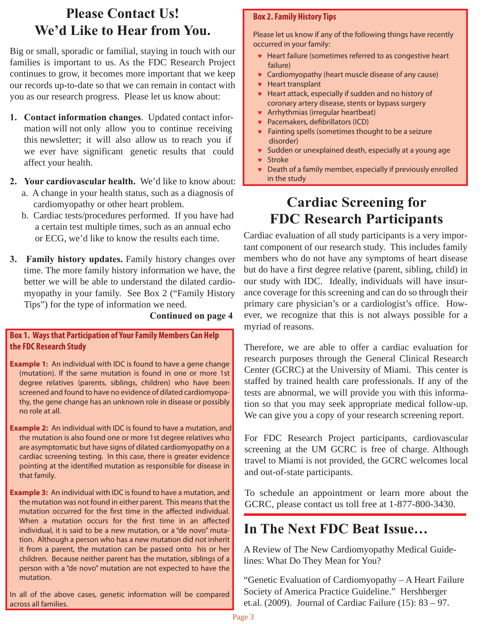# **Please Contact Us! We'd Like to Hear from You.**

Big or small, sporadic or familial, staying in touch with our families is important to us. As the FDC Research Project continues to grow, it becomes more important that we keep our records up-to-date so that we can remain in contact with you as our research progress. Please let us know about:

- **1. Contact information changes**. Updated contact infor mation will not only allow you to continue receiving this newsletter; it will also allow us to reach you if we ever have significant genetic results that could affect your health.
- **2. Your cardiovascular health.** We'd like to know about: a. A change in your health status, such as a diagnosis of cardiomyopathy or other heart problem.
	- b. Cardiac tests/procedures performed. If you have had a certain test multiple times, such as an annual echo or ECG, we'd like to know the results each time.
- **3. Family history updates.** Family history changes over time. The more family history information we have, the better we will be able to understand the dilated cardiomyopathy in your family. See Box 2 ("Family History Tips") for the type of information we need.

#### **Continued on page 4**

#### **Box 1. Ways that Participation of Your Family Members Can Help the FDC Research Study**

- **Example 1:** An individual with IDC is found to have a gene change (mutation). If the same mutation is found in one or more 1st degree relatives (parents, siblings, children) who have been screened and found to have no evidence of dilated cardiomyopathy, the gene change has an unknown role in disease or possibly no role at all.
- **Example 2:** An individual with IDC is found to have a mutation, and the mutation is also found one or more 1st degree relatives who are asymptomatic but have signs of dilated cardiomyopathy on a cardiac screening testing. In this case, there is greater evidence pointing at the identified mutation as responsible for disease in that family.
- **Example 3:** An individual with IDC is found to have a mutation, and the mutation was not found in either parent. This means that the mutation occurred for the first time in the affected individual. When a mutation occurs for the first time in an affected individual, it is said to be a new mutation, or a "de novo" mutation. Although a person who has a new mutation did not inherit it from a parent, the mutation can be passed onto his or her children. Because neither parent has the mutation, siblings of a person with a "de novo" mutation are not expected to have the mutation.

In all of the above cases, genetic information will be compared across all families.

#### **Box 2. Family History Tips**

Please let us know if any of the following things have recently occurred in your family:

- **♥** Heart failure (sometimes referred to as congestive heart failure)
- **♥** Cardiomyopathy (heart muscle disease of any cause)
- **♥** Heart transplant
- **♥** Heart attack, especially if sudden and no history of coronary artery disease, stents or bypass surgery
- **♥** Arrhythmias (irregular heartbeat)
- **♥** Pacemakers, defibrillators (ICD)
- **♥** Fainting spells (sometimes thought to be a seizure disorder)
- **♥** Sudden or unexplained death, especially at a young age
- **♥** Stroke
- **♥** Death of a family member, especially if previously enrolled in the study

# **Cardiac Screening for FDC Research Participants**

Cardiac evaluation of all study participants is a very important component of our research study. This includes family members who do not have any symptoms of heart disease but do have a first degree relative (parent, sibling, child) in our study with IDC. Ideally, individuals will have insurance coverage for this screening and can do so through their primary care physician's or a cardiologist's office. However, we recognize that this is not always possible for a myriad of reasons.

Therefore, we are able to offer a cardiac evaluation for research purposes through the General Clinical Research Center (GCRC) at the University of Miami. This center is staffed by trained health care professionals. If any of the tests are abnormal, we will provide you with this information so that you may seek appropriate medical follow-up. We can give you a copy of your research screening report.

For FDC Research Project participants, cardiovascular screening at the UM GCRC is free of charge. Although travel to Miami is not provided, the GCRC welcomes local and out-of-state participants.

To schedule an appointment or learn more about the GCRC, please contact us toll free at 1-877-800-3430.

## **In The Next FDC Beat Issue…**

A Review of The New Cardiomyopathy Medical Guidelines: What Do They Mean for You?

"Genetic Evaluation of Cardiomyopathy – A Heart Failure Society of America Practice Guideline." Hershberger et.al. (2009). Journal of Cardiac Failure (15): 83 – 97.